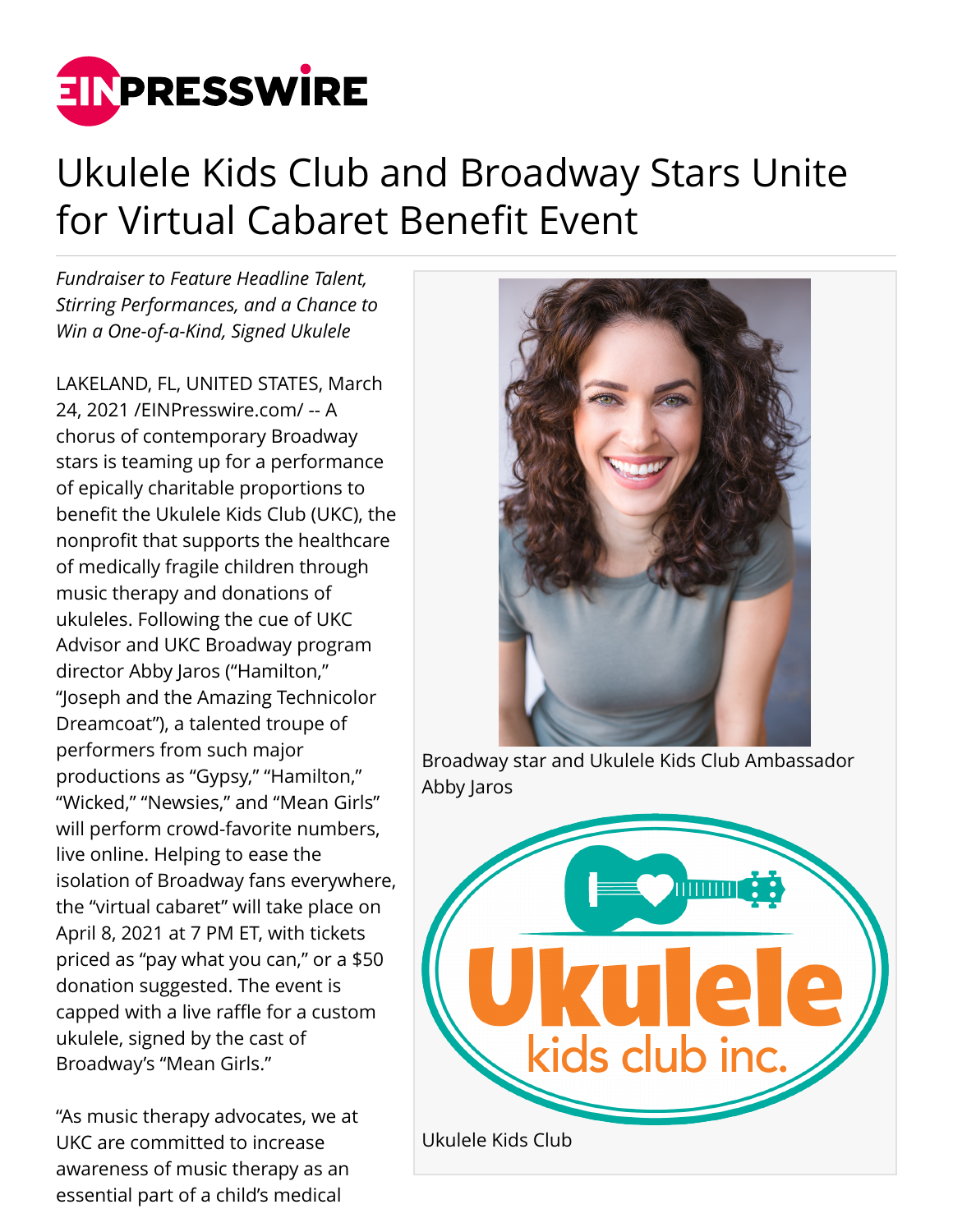

## Ukulele Kids Club and Broadway Stars Unite for Virtual Cabaret Benefit Event

*Fundraiser to Feature Headline Talent, Stirring Performances, and a Chance to Win a One-of-a-Kind, Signed Ukulele*

LAKELAND, FL, UNITED STATES, March 24, 2021 /[EINPresswire.com/](http://www.einpresswire.com) -- A chorus of contemporary Broadway stars is teaming up for a performance of epically charitable proportions to benefit the Ukulele Kids Club (UKC), the nonprofit that supports the healthcare of medically fragile children through music therapy and donations of ukuleles. Following the cue of UKC Advisor and UKC Broadway program director Abby Jaros ("Hamilton," "Joseph and the Amazing Technicolor Dreamcoat"), a talented troupe of performers from such major productions as "Gypsy," "Hamilton," "Wicked," "Newsies," and "Mean Girls" will perform crowd-favorite numbers, live online. Helping to ease the isolation of Broadway fans everywhere, the "virtual cabaret" will take place on April 8, 2021 at 7 PM ET, with tickets priced as "pay what you can," or a \$50 donation suggested. The event is capped with a live raffle for a custom ukulele, signed by the cast of Broadway's "Mean Girls."

"As music therapy advocates, we at UKC are committed to increase awareness of music therapy as an essential part of a child's medical



Broadway star and Ukulele Kids Club Ambassador Abby Jaros

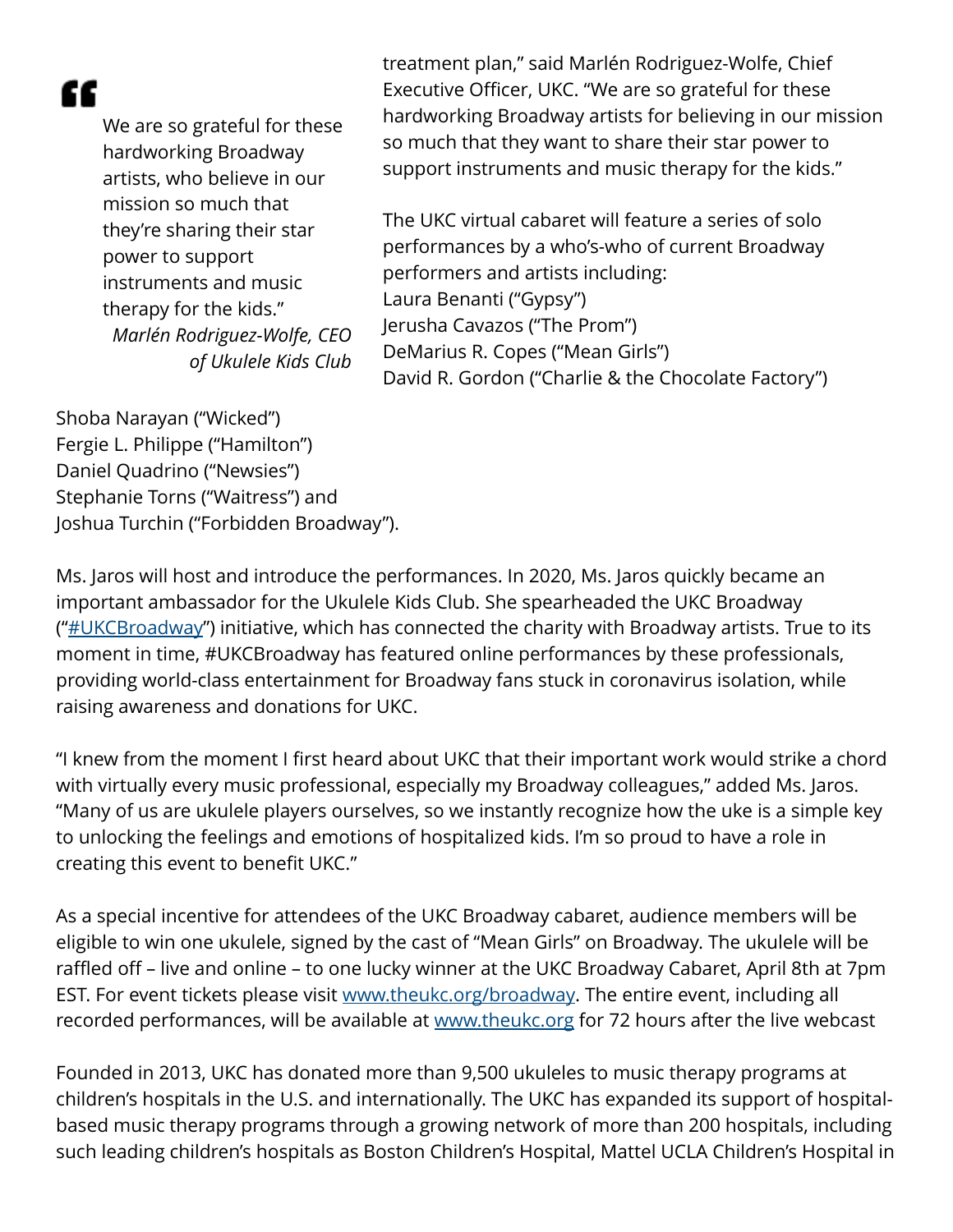æ

We are so grateful for these hardworking Broadway artists, who believe in our mission so much that they're sharing their star power to support instruments and music therapy for the kids." *Marlén Rodriguez-Wolfe, CEO of Ukulele Kids Club* treatment plan," said Marlén Rodriguez-Wolfe, Chief Executive Officer, UKC. "We are so grateful for these hardworking Broadway artists for believing in our mission so much that they want to share their star power to support instruments and music therapy for the kids."

The UKC virtual cabaret will feature a series of solo performances by a who's-who of current Broadway performers and artists including: Laura Benanti ("Gypsy") Jerusha Cavazos ("The Prom") DeMarius R. Copes ("Mean Girls") David R. Gordon ("Charlie & the Chocolate Factory")

Shoba Narayan ("Wicked") Fergie L. Philippe ("Hamilton") Daniel Quadrino ("Newsies") Stephanie Torns ("Waitress") and Joshua Turchin ("Forbidden Broadway").

Ms. Jaros will host and introduce the performances. In 2020, Ms. Jaros quickly became an important ambassador for the Ukulele Kids Club. She spearheaded the UKC Broadway  $("HUKCBroadway")$  initiative, which has connected the charity with Broadway artists. True to its moment in time, #UKCBroadway has featured online performances by these professionals, providing world-class entertainment for Broadway fans stuck in coronavirus isolation, while raising awareness and donations for UKC.

"I knew from the moment I first heard about UKC that their important work would strike a chord with virtually every music professional, especially my Broadway colleagues," added Ms. Jaros. "Many of us are ukulele players ourselves, so we instantly recognize how the uke is a simple key to unlocking the feelings and emotions of hospitalized kids. I'm so proud to have a role in creating this event to benefit UKC."

As a special incentive for attendees of the UKC Broadway cabaret, audience members will be eligible to win one ukulele, signed by the cast of "Mean Girls" on Broadway. The ukulele will be raffled off – live and online – to one lucky winner at the UKC Broadway Cabaret, April 8th at 7pm EST. For event tickets please visit [www.theukc.org/broadway.](http://www.theukc.org/broadway) The entire event, including all recorded performances, will be available at [www.theukc.org](http://www.theukc.org) for 72 hours after the live webcast

Founded in 2013, UKC has donated more than 9,500 ukuleles to music therapy programs at children's hospitals in the U.S. and internationally. The UKC has expanded its support of hospitalbased music therapy programs through a growing network of more than 200 hospitals, including such leading children's hospitals as Boston Children's Hospital, Mattel UCLA Children's Hospital in